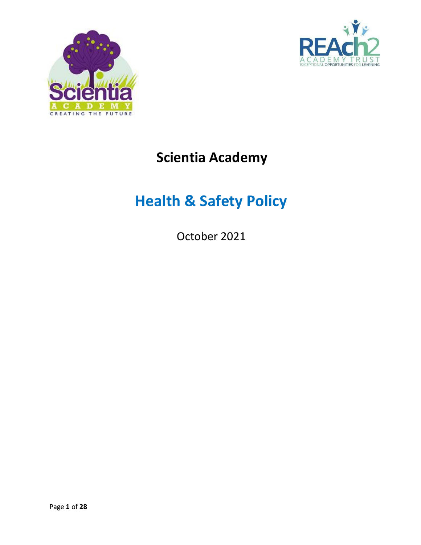



## **Scientia Academy**

# **Health & Safety Policy**

October 2021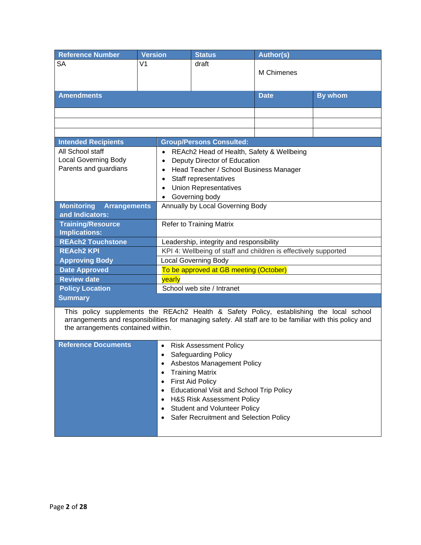| <b>Reference Number</b>                                                                                                                                                                                                                    | <b>Version</b>                        | <b>Status</b>                                                                                                                                                                                                                                                                                                               | <b>Author(s)</b> |                |  |
|--------------------------------------------------------------------------------------------------------------------------------------------------------------------------------------------------------------------------------------------|---------------------------------------|-----------------------------------------------------------------------------------------------------------------------------------------------------------------------------------------------------------------------------------------------------------------------------------------------------------------------------|------------------|----------------|--|
| <b>SA</b>                                                                                                                                                                                                                                  | V <sub>1</sub>                        | draft                                                                                                                                                                                                                                                                                                                       | M Chimenes       |                |  |
| <b>Amendments</b>                                                                                                                                                                                                                          |                                       |                                                                                                                                                                                                                                                                                                                             | <b>Date</b>      | <b>By whom</b> |  |
|                                                                                                                                                                                                                                            |                                       |                                                                                                                                                                                                                                                                                                                             |                  |                |  |
|                                                                                                                                                                                                                                            |                                       |                                                                                                                                                                                                                                                                                                                             |                  |                |  |
|                                                                                                                                                                                                                                            |                                       |                                                                                                                                                                                                                                                                                                                             |                  |                |  |
| <b>Intended Recipients</b>                                                                                                                                                                                                                 |                                       | <b>Group/Persons Consulted:</b>                                                                                                                                                                                                                                                                                             |                  |                |  |
| All School staff<br><b>Local Governing Body</b><br>Parents and guardians                                                                                                                                                                   | $\bullet$<br>٠                        | REAch2 Head of Health, Safety & Wellbeing<br>Deputy Director of Education<br>Head Teacher / School Business Manager<br>Staff representatives<br><b>Union Representatives</b><br>Governing body                                                                                                                              |                  |                |  |
| <b>Monitoring</b><br><b>Arrangements</b><br>and Indicators:                                                                                                                                                                                |                                       | Annually by Local Governing Body                                                                                                                                                                                                                                                                                            |                  |                |  |
| <b>Training/Resource</b><br><b>Implications:</b>                                                                                                                                                                                           |                                       | <b>Refer to Training Matrix</b>                                                                                                                                                                                                                                                                                             |                  |                |  |
| <b>REAch2 Touchstone</b>                                                                                                                                                                                                                   |                                       | Leadership, integrity and responsibility                                                                                                                                                                                                                                                                                    |                  |                |  |
| <b>REAch2 KPI</b>                                                                                                                                                                                                                          |                                       | KPI 4: Wellbeing of staff and children is effectively supported                                                                                                                                                                                                                                                             |                  |                |  |
| <b>Approving Body</b>                                                                                                                                                                                                                      |                                       | <b>Local Governing Body</b>                                                                                                                                                                                                                                                                                                 |                  |                |  |
| <b>Date Approved</b>                                                                                                                                                                                                                       |                                       | To be approved at GB meeting (October)                                                                                                                                                                                                                                                                                      |                  |                |  |
|                                                                                                                                                                                                                                            | <b>Review date</b><br>yearly          |                                                                                                                                                                                                                                                                                                                             |                  |                |  |
| <b>Policy Location</b>                                                                                                                                                                                                                     |                                       | School web site / Intranet                                                                                                                                                                                                                                                                                                  |                  |                |  |
| <b>Summary</b>                                                                                                                                                                                                                             |                                       |                                                                                                                                                                                                                                                                                                                             |                  |                |  |
| This policy supplements the REAch2 Health & Safety Policy, establishing the local school<br>arrangements and responsibilities for managing safety. All staff are to be familiar with this policy and<br>the arrangements contained within. |                                       |                                                                                                                                                                                                                                                                                                                             |                  |                |  |
| <b>Reference Documents</b>                                                                                                                                                                                                                 | $\bullet$<br>٠<br>$\bullet$<br>٠<br>٠ | <b>Risk Assessment Policy</b><br><b>Safeguarding Policy</b><br>Asbestos Management Policy<br><b>Training Matrix</b><br><b>First Aid Policy</b><br><b>Educational Visit and School Trip Policy</b><br><b>H&amp;S Risk Assessment Policy</b><br><b>Student and Volunteer Policy</b><br>Safer Recruitment and Selection Policy |                  |                |  |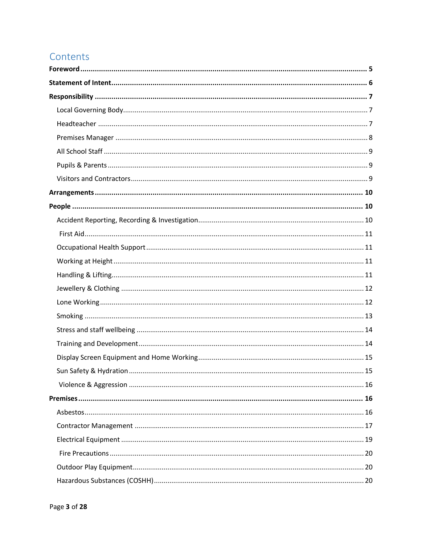## Contents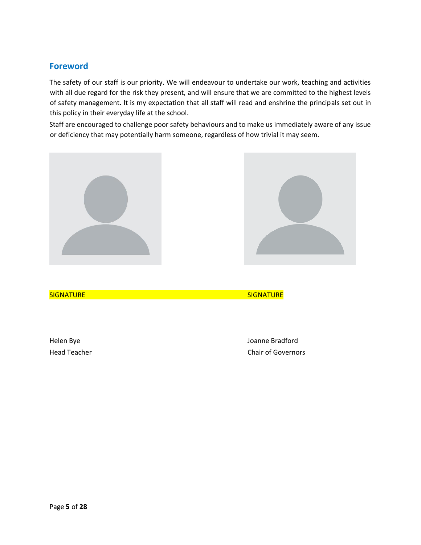### <span id="page-4-0"></span>**Foreword**

The safety of our staff is our priority. We will endeavour to undertake our work, teaching and activities with all due regard for the risk they present, and will ensure that we are committed to the highest levels of safety management. It is my expectation that all staff will read and enshrine the principals set out in this policy in their everyday life at the school.

Staff are encouraged to challenge poor safety behaviours and to make us immediately aware of any issue or deficiency that may potentially harm someone, regardless of how trivial it may seem.



Helen Bye Joanne Bradford Head Teacher **Chair of Governors**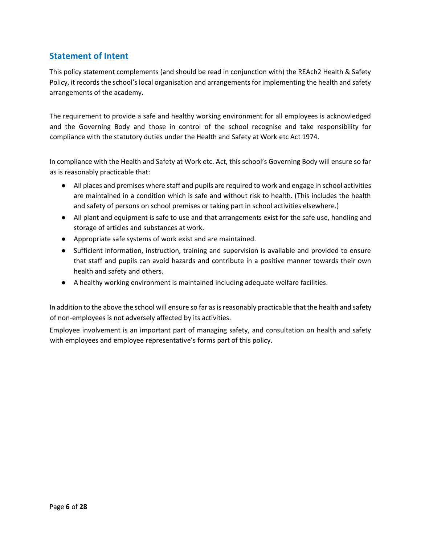## <span id="page-5-0"></span>**Statement of Intent**

This policy statement complements (and should be read in conjunction with) the REAch2 Health & Safety Policy, it records the school's local organisation and arrangements for implementing the health and safety arrangements of the academy.

The requirement to provide a safe and healthy working environment for all employees is acknowledged and the Governing Body and those in control of the school recognise and take responsibility for compliance with the statutory duties under the Health and Safety at Work etc Act 1974.

In compliance with the Health and Safety at Work etc. Act, this school's Governing Body will ensure so far as is reasonably practicable that:

- All places and premises where staff and pupils are required to work and engage in school activities are maintained in a condition which is safe and without risk to health. (This includes the health and safety of persons on school premises or taking part in school activities elsewhere.)
- All plant and equipment is safe to use and that arrangements exist for the safe use, handling and storage of articles and substances at work.
- Appropriate safe systems of work exist and are maintained.
- Sufficient information, instruction, training and supervision is available and provided to ensure that staff and pupils can avoid hazards and contribute in a positive manner towards their own health and safety and others.
- A healthy working environment is maintained including adequate welfare facilities.

In addition to the above the school will ensure so far as is reasonably practicable that the health and safety of non-employees is not adversely affected by its activities.

Employee involvement is an important part of managing safety, and consultation on health and safety with employees and employee representative's forms part of this policy.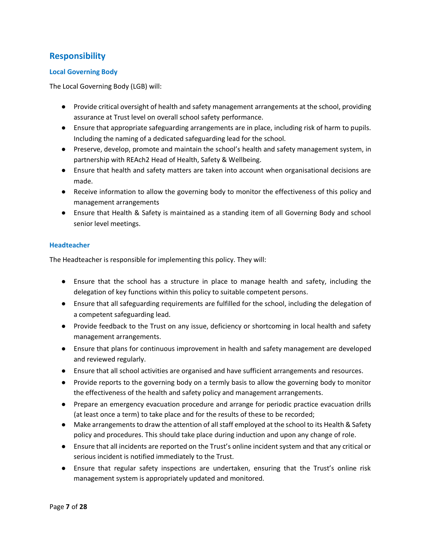## <span id="page-6-0"></span>**Responsibility**

#### <span id="page-6-1"></span>**Local Governing Body**

The Local Governing Body (LGB) will:

- Provide critical oversight of health and safety management arrangements at the school, providing assurance at Trust level on overall school safety performance.
- Ensure that appropriate safeguarding arrangements are in place, including risk of harm to pupils. Including the naming of a dedicated safeguarding lead for the school.
- Preserve, develop, promote and maintain the school's health and safety management system, in partnership with REAch2 Head of Health, Safety & Wellbeing.
- Ensure that health and safety matters are taken into account when organisational decisions are made.
- Receive information to allow the governing body to monitor the effectiveness of this policy and management arrangements
- Ensure that Health & Safety is maintained as a standing item of all Governing Body and school senior level meetings.

#### <span id="page-6-2"></span>**Headteacher**

The Headteacher is responsible for implementing this policy. They will:

- Ensure that the school has a structure in place to manage health and safety, including the delegation of key functions within this policy to suitable competent persons.
- Ensure that all safeguarding requirements are fulfilled for the school, including the delegation of a competent safeguarding lead.
- Provide feedback to the Trust on any issue, deficiency or shortcoming in local health and safety management arrangements.
- Ensure that plans for continuous improvement in health and safety management are developed and reviewed regularly.
- Ensure that all school activities are organised and have sufficient arrangements and resources.
- Provide reports to the governing body on a termly basis to allow the governing body to monitor the effectiveness of the health and safety policy and management arrangements.
- Prepare an emergency evacuation procedure and arrange for periodic practice evacuation drills (at least once a term) to take place and for the results of these to be recorded;
- Make arrangements to draw the attention of all staff employed at the school to its Health & Safety policy and procedures. This should take place during induction and upon any change of role.
- Ensure that all incidents are reported on the Trust's online incident system and that any critical or serious incident is notified immediately to the Trust.
- Ensure that regular safety inspections are undertaken, ensuring that the Trust's online risk management system is appropriately updated and monitored.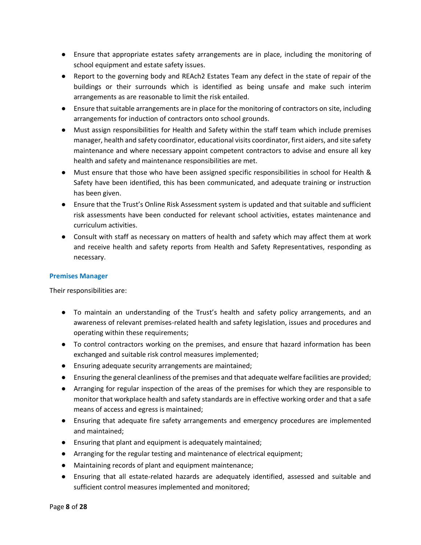- Ensure that appropriate estates safety arrangements are in place, including the monitoring of school equipment and estate safety issues.
- Report to the governing body and REAch2 Estates Team any defect in the state of repair of the buildings or their surrounds which is identified as being unsafe and make such interim arrangements as are reasonable to limit the risk entailed.
- Ensure that suitable arrangements are in place for the monitoring of contractors on site, including arrangements for induction of contractors onto school grounds.
- Must assign responsibilities for Health and Safety within the staff team which include premises manager, health and safety coordinator, educational visits coordinator, first aiders, and site safety maintenance and where necessary appoint competent contractors to advise and ensure all key health and safety and maintenance responsibilities are met.
- Must ensure that those who have been assigned specific responsibilities in school for Health & Safety have been identified, this has been communicated, and adequate training or instruction has been given.
- Ensure that the Trust's Online Risk Assessment system is updated and that suitable and sufficient risk assessments have been conducted for relevant school activities, estates maintenance and curriculum activities.
- Consult with staff as necessary on matters of health and safety which may affect them at work and receive health and safety reports from Health and Safety Representatives, responding as necessary.

#### <span id="page-7-0"></span>**Premises Manager**

Their responsibilities are:

- To maintain an understanding of the Trust's health and safety policy arrangements, and an awareness of relevant premises-related health and safety legislation, issues and procedures and operating within these requirements;
- To control contractors working on the premises, and ensure that hazard information has been exchanged and suitable risk control measures implemented;
- Ensuring adequate security arrangements are maintained;
- Ensuring the general cleanliness of the premises and that adequate welfare facilities are provided;
- Arranging for regular inspection of the areas of the premises for which they are responsible to monitor that workplace health and safety standards are in effective working order and that a safe means of access and egress is maintained;
- Ensuring that adequate fire safety arrangements and emergency procedures are implemented and maintained;
- Ensuring that plant and equipment is adequately maintained;
- Arranging for the regular testing and maintenance of electrical equipment;
- Maintaining records of plant and equipment maintenance;
- Ensuring that all estate-related hazards are adequately identified, assessed and suitable and sufficient control measures implemented and monitored;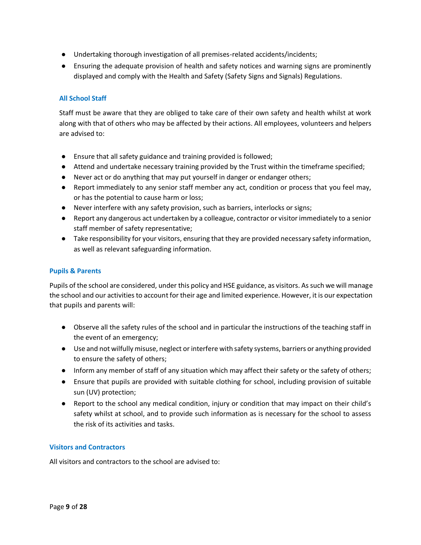- Undertaking thorough investigation of all premises-related accidents/incidents;
- Ensuring the adequate provision of health and safety notices and warning signs are prominently displayed and comply with the Health and Safety (Safety Signs and Signals) Regulations.

#### <span id="page-8-0"></span>**All School Staff**

Staff must be aware that they are obliged to take care of their own safety and health whilst at work along with that of others who may be affected by their actions. All employees, volunteers and helpers are advised to:

- Ensure that all safety guidance and training provided is followed;
- Attend and undertake necessary training provided by the Trust within the timeframe specified;
- Never act or do anything that may put yourself in danger or endanger others;
- Report immediately to any senior staff member any act, condition or process that you feel may, or has the potential to cause harm or loss;
- Never interfere with any safety provision, such as barriers, interlocks or signs;
- Report any dangerous act undertaken by a colleague, contractor or visitor immediately to a senior staff member of safety representative;
- Take responsibility for your visitors, ensuring that they are provided necessary safety information, as well as relevant safeguarding information.

#### <span id="page-8-1"></span>**Pupils & Parents**

Pupils of the school are considered, under this policy and HSE guidance, as visitors. As such we will manage the school and our activities to account for their age and limited experience. However, it is our expectation that pupils and parents will:

- Observe all the safety rules of the school and in particular the instructions of the teaching staff in the event of an emergency;
- Use and not wilfully misuse, neglect or interfere with safety systems, barriers or anything provided to ensure the safety of others;
- Inform any member of staff of any situation which may affect their safety or the safety of others;
- Ensure that pupils are provided with suitable clothing for school, including provision of suitable sun (UV) protection;
- Report to the school any medical condition, injury or condition that may impact on their child's safety whilst at school, and to provide such information as is necessary for the school to assess the risk of its activities and tasks.

#### <span id="page-8-2"></span>**Visitors and Contractors**

All visitors and contractors to the school are advised to: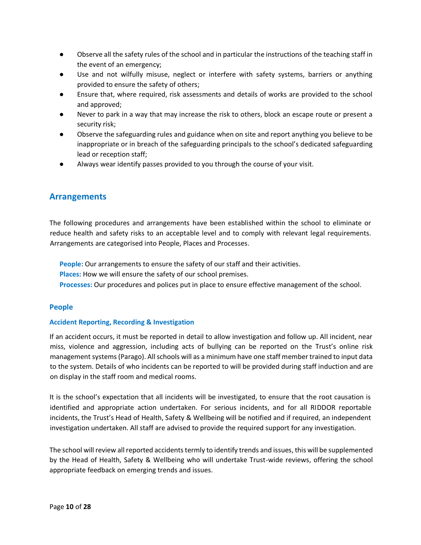- Observe all the safety rules of the school and in particular the instructions of the teaching staff in the event of an emergency;
- Use and not wilfully misuse, neglect or interfere with safety systems, barriers or anything provided to ensure the safety of others;
- Ensure that, where required, risk assessments and details of works are provided to the school and approved;
- Never to park in a way that may increase the risk to others, block an escape route or present a security risk;
- Observe the safeguarding rules and guidance when on site and report anything you believe to be inappropriate or in breach of the safeguarding principals to the school's dedicated safeguarding lead or reception staff;
- Always wear identify passes provided to you through the course of your visit.

#### <span id="page-9-0"></span>**Arrangements**

The following procedures and arrangements have been established within the school to eliminate or reduce health and safety risks to an acceptable level and to comply with relevant legal requirements. Arrangements are categorised into People, Places and Processes.

**People:** Our arrangements to ensure the safety of our staff and their activities.

- **Places:** How we will ensure the safety of our school premises.
- **Processes:** Our procedures and polices put in place to ensure effective management of the school.

#### <span id="page-9-1"></span>**People**

#### <span id="page-9-2"></span>**Accident Reporting, Recording & Investigation**

If an accident occurs, it must be reported in detail to allow investigation and follow up. All incident, near miss, violence and aggression, including acts of bullying can be reported on the Trust's online risk management systems (Parago). All schools will as a minimum have one staff member trained to input data to the system. Details of who incidents can be reported to will be provided during staff induction and are on display in the staff room and medical rooms.

It is the school's expectation that all incidents will be investigated, to ensure that the root causation is identified and appropriate action undertaken. For serious incidents, and for all RIDDOR reportable incidents, the Trust's Head of Health, Safety & Wellbeing will be notified and if required, an independent investigation undertaken. All staff are advised to provide the required support for any investigation.

The school will review all reported accidents termly to identify trends and issues, this will be supplemented by the Head of Health, Safety & Wellbeing who will undertake Trust-wide reviews, offering the school appropriate feedback on emerging trends and issues.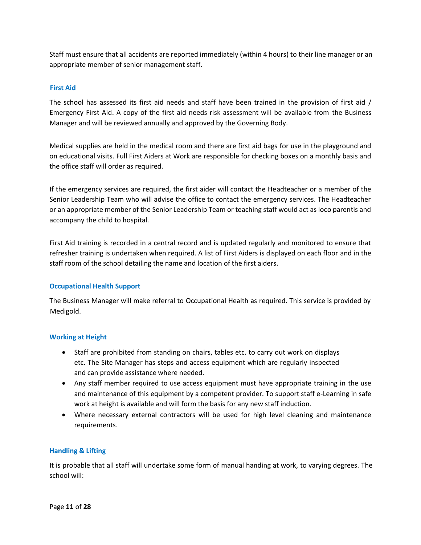Staff must ensure that all accidents are reported immediately (within 4 hours) to their line manager or an appropriate member of senior management staff.

#### <span id="page-10-0"></span>**First Aid**

The school has assessed its first aid needs and staff have been trained in the provision of first aid / Emergency First Aid. A copy of the first aid needs risk assessment will be available from the Business Manager and will be reviewed annually and approved by the Governing Body.

Medical supplies are held in the medical room and there are first aid bags for use in the playground and on educational visits. Full First Aiders at Work are responsible for checking boxes on a monthly basis and the office staff will order as required.

If the emergency services are required, the first aider will contact the Headteacher or a member of the Senior Leadership Team who will advise the office to contact the emergency services. The Headteacher or an appropriate member of the Senior Leadership Team or teaching staff would act as loco parentis and accompany the child to hospital.

First Aid training is recorded in a central record and is updated regularly and monitored to ensure that refresher training is undertaken when required. A list of First Aiders is displayed on each floor and in the staff room of the school detailing the name and location of the first aiders.

#### <span id="page-10-1"></span>**Occupational Health Support**

The Business Manager will make referral to Occupational Health as required. This service is provided by Medigold.

#### <span id="page-10-2"></span>**Working at Height**

- Staff are prohibited from standing on chairs, tables etc. to carry out work on displays etc. The Site Manager has steps and access equipment which are regularly inspected and can provide assistance where needed.
- Any staff member required to use access equipment must have appropriate training in the use and maintenance of this equipment by a competent provider. To support staff e-Learning in safe work at height is available and will form the basis for any new staff induction.
- Where necessary external contractors will be used for high level cleaning and maintenance requirements.

#### <span id="page-10-3"></span>**Handling & Lifting**

It is probable that all staff will undertake some form of manual handing at work, to varying degrees. The school will: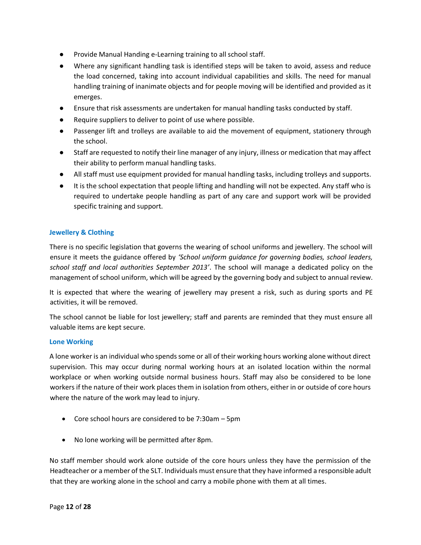- **Provide Manual Handing e-Learning training to all school staff.**
- Where any significant handling task is identified steps will be taken to avoid, assess and reduce the load concerned, taking into account individual capabilities and skills. The need for manual handling training of inanimate objects and for people moving will be identified and provided as it emerges.
- Ensure that risk assessments are undertaken for manual handling tasks conducted by staff.
- Require suppliers to deliver to point of use where possible.
- Passenger lift and trolleys are available to aid the movement of equipment, stationery through the school.
- Staff are requested to notify their line manager of any injury, illness or medication that may affect their ability to perform manual handling tasks.
- All staff must use equipment provided for manual handling tasks, including trolleys and supports.
- It is the school expectation that people lifting and handling will not be expected. Any staff who is required to undertake people handling as part of any care and support work will be provided specific training and support.

#### <span id="page-11-0"></span>**Jewellery & Clothing**

There is no specific legislation that governs the wearing of school uniforms and jewellery. The school will ensure it meets the guidance offered by *'School uniform guidance for governing bodies, school leaders, school staff and local authorities September 2013'*. The school will manage a dedicated policy on the management of school uniform, which will be agreed by the governing body and subject to annual review.

It is expected that where the wearing of jewellery may present a risk, such as during sports and PE activities, it will be removed.

The school cannot be liable for lost jewellery; staff and parents are reminded that they must ensure all valuable items are kept secure.

#### <span id="page-11-1"></span>**Lone Working**

A lone worker is an individual who spends some or all of their working hours working alone without direct supervision. This may occur during normal working hours at an isolated location within the normal workplace or when working outside normal business hours. Staff may also be considered to be lone workers if the nature of their work places them in isolation from others, either in or outside of core hours where the nature of the work may lead to injury.

- Core school hours are considered to be 7:30am 5pm
- No lone working will be permitted after 8pm.

No staff member should work alone outside of the core hours unless they have the permission of the Headteacher or a member of the SLT. Individuals must ensure that they have informed a responsible adult that they are working alone in the school and carry a mobile phone with them at all times.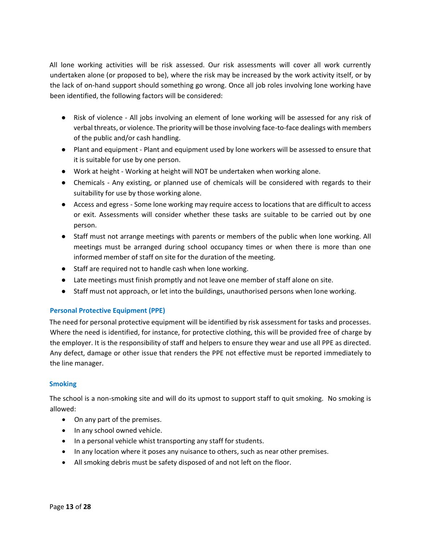All lone working activities will be risk assessed. Our risk assessments will cover all work currently undertaken alone (or proposed to be), where the risk may be increased by the work activity itself, or by the lack of on-hand support should something go wrong. Once all job roles involving lone working have been identified, the following factors will be considered:

- Risk of violence All jobs involving an element of lone working will be assessed for any risk of verbal threats, or violence. The priority will be those involving face-to-face dealings with members of the public and/or cash handling.
- Plant and equipment Plant and equipment used by lone workers will be assessed to ensure that it is suitable for use by one person.
- Work at height Working at height will NOT be undertaken when working alone.
- Chemicals Any existing, or planned use of chemicals will be considered with regards to their suitability for use by those working alone.
- Access and egress Some lone working may require access to locations that are difficult to access or exit. Assessments will consider whether these tasks are suitable to be carried out by one person.
- Staff must not arrange meetings with parents or members of the public when lone working. All meetings must be arranged during school occupancy times or when there is more than one informed member of staff on site for the duration of the meeting.
- Staff are required not to handle cash when lone working.
- Late meetings must finish promptly and not leave one member of staff alone on site.
- Staff must not approach, or let into the buildings, unauthorised persons when lone working.

#### **Personal Protective Equipment (PPE)**

The need for personal protective equipment will be identified by risk assessment for tasks and processes. Where the need is identified, for instance, for protective clothing, this will be provided free of charge by the employer. It is the responsibility of staff and helpers to ensure they wear and use all PPE as directed. Any defect, damage or other issue that renders the PPE not effective must be reported immediately to the line manager.

#### <span id="page-12-0"></span>**Smoking**

The school is a non-smoking site and will do its upmost to support staff to quit smoking. No smoking is allowed:

- On any part of the premises.
- In any school owned vehicle.
- In a personal vehicle whist transporting any staff for students.
- In any location where it poses any nuisance to others, such as near other premises.
- All smoking debris must be safety disposed of and not left on the floor.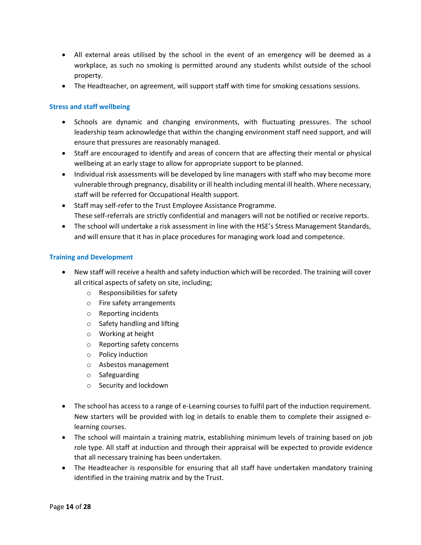- All external areas utilised by the school in the event of an emergency will be deemed as a workplace, as such no smoking is permitted around any students whilst outside of the school property.
- The Headteacher, on agreement, will support staff with time for smoking cessations sessions.

#### <span id="page-13-0"></span>**Stress and staff wellbeing**

- Schools are dynamic and changing environments, with fluctuating pressures. The school leadership team acknowledge that within the changing environment staff need support, and will ensure that pressures are reasonably managed.
- Staff are encouraged to identify and areas of concern that are affecting their mental or physical wellbeing at an early stage to allow for appropriate support to be planned.
- Individual risk assessments will be developed by line managers with staff who may become more vulnerable through pregnancy, disability or ill health including mental ill health. Where necessary, staff will be referred for Occupational Health support.
- Staff may self-refer to the Trust Employee Assistance Programme. These self-referrals are strictly confidential and managers will not be notified or receive reports.
- The school will undertake a risk assessment in line with the HSE's Stress Management Standards, and will ensure that it has in place procedures for managing work load and competence.

#### <span id="page-13-1"></span>**Training and Development**

- New staff will receive a health and safety induction which will be recorded. The training will cover all critical aspects of safety on site, including;
	- o Responsibilities for safety
	- o Fire safety arrangements
	- o Reporting incidents
	- o Safety handling and lifting
	- o Working at height
	- o Reporting safety concerns
	- o Policy induction
	- o Asbestos management
	- o Safeguarding
	- o Security and lockdown
- The school has access to a range of e-Learning courses to fulfil part of the induction requirement. New starters will be provided with log in details to enable them to complete their assigned elearning courses.
- The school will maintain a training matrix, establishing minimum levels of training based on job role type. All staff at induction and through their appraisal will be expected to provide evidence that all necessary training has been undertaken.
- The Headteacher is responsible for ensuring that all staff have undertaken mandatory training identified in the training matrix and by the Trust.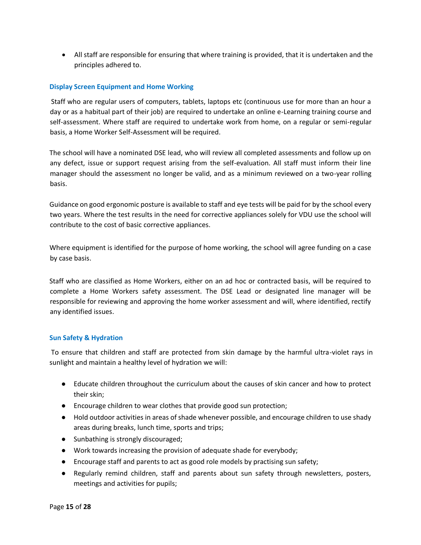• All staff are responsible for ensuring that where training is provided, that it is undertaken and the principles adhered to.

#### <span id="page-14-0"></span>**Display Screen Equipment and Home Working**

Staff who are regular users of computers, tablets, laptops etc (continuous use for more than an hour a day or as a habitual part of their job) are required to undertake an online e-Learning training course and self-assessment. Where staff are required to undertake work from home, on a regular or semi-regular basis, a Home Worker Self-Assessment will be required.

The school will have a nominated DSE lead, who will review all completed assessments and follow up on any defect, issue or support request arising from the self-evaluation. All staff must inform their line manager should the assessment no longer be valid, and as a minimum reviewed on a two-year rolling basis.

Guidance on good ergonomic posture is available to staff and eye tests will be paid for by the school every two years. Where the test results in the need for corrective appliances solely for VDU use the school will contribute to the cost of basic corrective appliances.

Where equipment is identified for the purpose of home working, the school will agree funding on a case by case basis.

Staff who are classified as Home Workers, either on an ad hoc or contracted basis, will be required to complete a Home Workers safety assessment. The DSE Lead or designated line manager will be responsible for reviewing and approving the home worker assessment and will, where identified, rectify any identified issues.

#### <span id="page-14-1"></span>**Sun Safety & Hydration**

To ensure that children and staff are protected from skin damage by the harmful ultra-violet rays in sunlight and maintain a healthy level of hydration we will:

- Educate children throughout the curriculum about the causes of skin cancer and how to protect their skin;
- Encourage children to wear clothes that provide good sun protection;
- Hold outdoor activities in areas of shade whenever possible, and encourage children to use shady areas during breaks, lunch time, sports and trips;
- Sunbathing is strongly discouraged;
- Work towards increasing the provision of adequate shade for everybody;
- Encourage staff and parents to act as good role models by practising sun safety;
- Regularly remind children, staff and parents about sun safety through newsletters, posters, meetings and activities for pupils;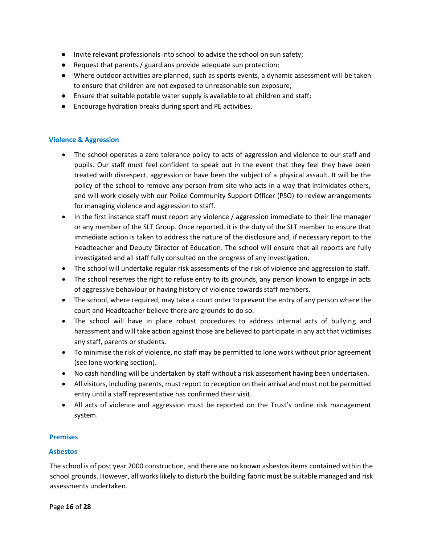- Invite relevant professionals into school to advise the school on sun safety;
- Request that parents / guardians provide adequate sun protection;
- Where outdoor activities are planned, such as sports events, a dynamic assessment will be taken to ensure that children are not exposed to unreasonable sun exposure;
- Ensure that suitable potable water supply is available to all children and staff;
- Encourage hydration breaks during sport and PE activities.

#### <span id="page-15-0"></span>**Violence & Aggression**

- The school operates a zero tolerance policy to acts of aggression and violence to our staff and pupils. Our staff must feel confident to speak out in the event that they feel they have been treated with disrespect, aggression or have been the subject of a physical assault. It will be the policy of the school to remove any person from site who acts in a way that intimidates others, and will work closely with our Police Community Support Officer (PSO) to review arrangements for managing violence and aggression to staff.
- In the first instance staff must report any violence / aggression immediate to their line manager or any member of the SLT Group. Once reported, it is the duty of the SLT member to ensure that immediate action is taken to address the nature of the disclosure and, if necessary report to the Headteacher and Deputy Director of Education. The school will ensure that all reports are fully investigated and all staff fully consulted on the progress of any investigation.
- The school will undertake regular risk assessments of the risk of violence and aggression to staff.
- The school reserves the right to refuse entry to its grounds, any person known to engage in acts of aggressive behaviour or having history of violence towards staff members.
- The school, where required, may take a court order to prevent the entry of any person where the court and Headteacher believe there are grounds to do so.
- The school will have in place robust procedures to address internal acts of bullying and harassment and will take action against those are believed to participate in any act that victimises any staff, parents or students.
- To minimise the risk of violence, no staff may be permitted to lone work without prior agreement (see lone working section).
- No cash handling will be undertaken by staff without a risk assessment having been undertaken.
- All visitors, including parents, must report to reception on their arrival and must not be permitted entry until a staff representative has confirmed their visit.
- All acts of violence and aggression must be reported on the Trust's online risk management system.

#### <span id="page-15-1"></span>**Premises**

#### <span id="page-15-2"></span>**Asbestos**

The school is of post year 2000 construction, and there are no known asbestos items contained within the school grounds. However, all works likely to disturb the building fabric must be suitable managed and risk assessments undertaken.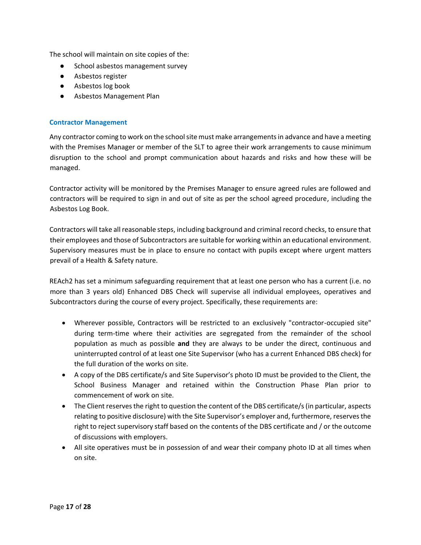The school will maintain on site copies of the:

- School asbestos management survey
- Asbestos register
- Asbestos log book
- Asbestos Management Plan

#### <span id="page-16-0"></span>**Contractor Management**

Any contractor coming to work on the school site must make arrangements in advance and have a meeting with the Premises Manager or member of the SLT to agree their work arrangements to cause minimum disruption to the school and prompt communication about hazards and risks and how these will be managed.

Contractor activity will be monitored by the Premises Manager to ensure agreed rules are followed and contractors will be required to sign in and out of site as per the school agreed procedure, including the Asbestos Log Book.

Contractors will take all reasonable steps, including background and criminal record checks, to ensure that their employees and those of Subcontractors are suitable for working within an educational environment. Supervisory measures must be in place to ensure no contact with pupils except where urgent matters prevail of a Health & Safety nature.

REAch2 has set a minimum safeguarding requirement that at least one person who has a current (i.e. no more than 3 years old) Enhanced DBS Check will supervise all individual employees, operatives and Subcontractors during the course of every project. Specifically, these requirements are:

- Wherever possible, Contractors will be restricted to an exclusively "contractor-occupied site" during term-time where their activities are segregated from the remainder of the school population as much as possible **and** they are always to be under the direct, continuous and uninterrupted control of at least one Site Supervisor (who has a current Enhanced DBS check) for the full duration of the works on site.
- A copy of the DBS certificate/s and Site Supervisor's photo ID must be provided to the Client, the School Business Manager and retained within the Construction Phase Plan prior to commencement of work on site.
- The Client reserves the right to question the content of the DBS certificate/s (in particular, aspects relating to positive disclosure) with the Site Supervisor's employer and, furthermore, reserves the right to reject supervisory staff based on the contents of the DBS certificate and / or the outcome of discussions with employers.
- All site operatives must be in possession of and wear their company photo ID at all times when on site.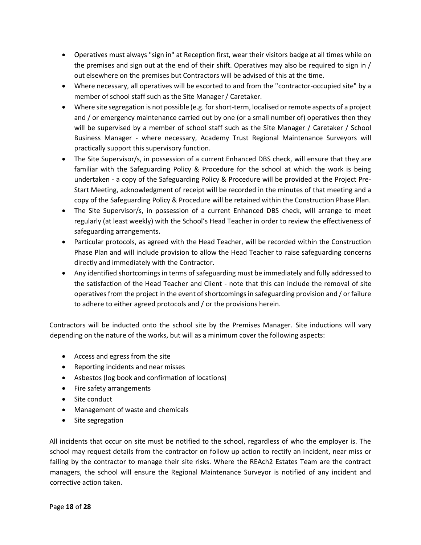- Operatives must always "sign in" at Reception first, wear their visitors badge at all times while on the premises and sign out at the end of their shift. Operatives may also be required to sign in / out elsewhere on the premises but Contractors will be advised of this at the time.
- Where necessary, all operatives will be escorted to and from the "contractor-occupied site" by a member of school staff such as the Site Manager / Caretaker.
- Where site segregation is not possible (e.g. for short-term, localised or remote aspects of a project and / or emergency maintenance carried out by one (or a small number of) operatives then they will be supervised by a member of school staff such as the Site Manager / Caretaker / School Business Manager - where necessary, Academy Trust Regional Maintenance Surveyors will practically support this supervisory function.
- The Site Supervisor/s, in possession of a current Enhanced DBS check, will ensure that they are familiar with the Safeguarding Policy & Procedure for the school at which the work is being undertaken - a copy of the Safeguarding Policy & Procedure will be provided at the Project Pre-Start Meeting, acknowledgment of receipt will be recorded in the minutes of that meeting and a copy of the Safeguarding Policy & Procedure will be retained within the Construction Phase Plan.
- The Site Supervisor/s, in possession of a current Enhanced DBS check, will arrange to meet regularly (at least weekly) with the School's Head Teacher in order to review the effectiveness of safeguarding arrangements.
- Particular protocols, as agreed with the Head Teacher, will be recorded within the Construction Phase Plan and will include provision to allow the Head Teacher to raise safeguarding concerns directly and immediately with the Contractor.
- Any identified shortcomings in terms of safeguarding must be immediately and fully addressed to the satisfaction of the Head Teacher and Client - note that this can include the removal of site operatives from the project in the event of shortcomings in safeguarding provision and / or failure to adhere to either agreed protocols and / or the provisions herein.

Contractors will be inducted onto the school site by the Premises Manager. Site inductions will vary depending on the nature of the works, but will as a minimum cover the following aspects:

- Access and egress from the site
- Reporting incidents and near misses
- Asbestos (log book and confirmation of locations)
- Fire safety arrangements
- Site conduct
- Management of waste and chemicals
- Site segregation

All incidents that occur on site must be notified to the school, regardless of who the employer is. The school may request details from the contractor on follow up action to rectify an incident, near miss or failing by the contractor to manage their site risks. Where the REAch2 Estates Team are the contract managers, the school will ensure the Regional Maintenance Surveyor is notified of any incident and corrective action taken.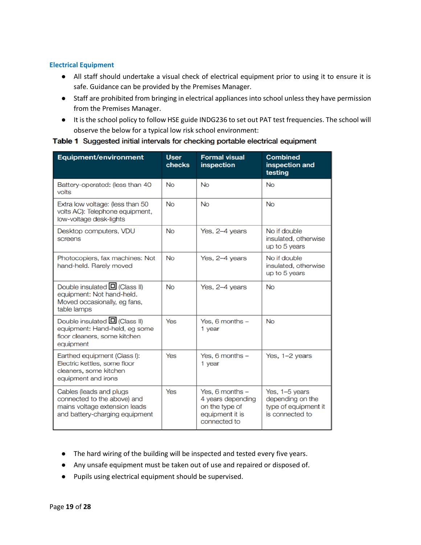#### <span id="page-18-0"></span>**Electrical Equipment**

- All staff should undertake a visual check of electrical equipment prior to using it to ensure it is safe. Guidance can be provided by the Premises Manager.
- Staff are prohibited from bringing in electrical appliances into school unless they have permission from the Premises Manager.
- It is the school policy to follow HSE guide INDG236 to set out PAT test frequencies. The school will observe the below for a typical low risk school environment:

| Table 1 Suggested initial intervals for checking portable electrical equipment |  |  |  |
|--------------------------------------------------------------------------------|--|--|--|
|                                                                                |  |  |  |

| <b>Equipment/environment</b>                                                                                              | <b>User</b><br>checks | <b>Formal visual</b><br><b>inspection</b>                                                   | <b>Combined</b><br>inspection and<br>testing                                  |
|---------------------------------------------------------------------------------------------------------------------------|-----------------------|---------------------------------------------------------------------------------------------|-------------------------------------------------------------------------------|
| Battery-operated: (less than 40)<br>volts                                                                                 | <b>No</b>             | <b>No</b>                                                                                   | <b>No</b>                                                                     |
| Extra low voltage: (less than 50<br>volts AC): Telephone equipment,<br>low-voltage desk-lights                            | <b>No</b>             | <b>No</b>                                                                                   | <b>No</b>                                                                     |
| Desktop computers, VDU<br>screens                                                                                         | <b>No</b>             | Yes, 2-4 years                                                                              | No if double<br>insulated, otherwise<br>up to 5 years                         |
| Photocopiers, fax machines: Not<br>hand-held. Rarely moved                                                                | <b>No</b>             | Yes, 2-4 years                                                                              | No if double<br>insulated, otherwise<br>up to 5 years                         |
| Double insulated <b>□</b> (Class II)<br>equipment: Not hand-held.<br>Moved occasionally, eg fans,<br>table lamps          | <b>No</b>             | Yes, 2-4 years                                                                              | <b>No</b>                                                                     |
| Double insulated $\Box$ (Class II)<br>equipment: Hand-held, eg some<br>floor cleaners, some kitchen<br>equipment          | Yes                   | Yes, 6 months -<br>1 year                                                                   | <b>No</b>                                                                     |
| Earthed equipment (Class I):<br>Electric kettles, some floor<br>cleaners, some kitchen<br>equipment and irons             | Yes                   | Yes, 6 months $-$<br>1 year                                                                 | Yes, 1-2 years                                                                |
| Cables (leads and plugs<br>connected to the above) and<br>mains voltage extension leads<br>and battery-charging equipment | Yes                   | Yes, 6 months $-$<br>4 years depending<br>on the type of<br>equipment it is<br>connected to | Yes, 1-5 years<br>depending on the<br>type of equipment it<br>is connected to |

- The hard wiring of the building will be inspected and tested every five years.
- Any unsafe equipment must be taken out of use and repaired or disposed of.
- Pupils using electrical equipment should be supervised.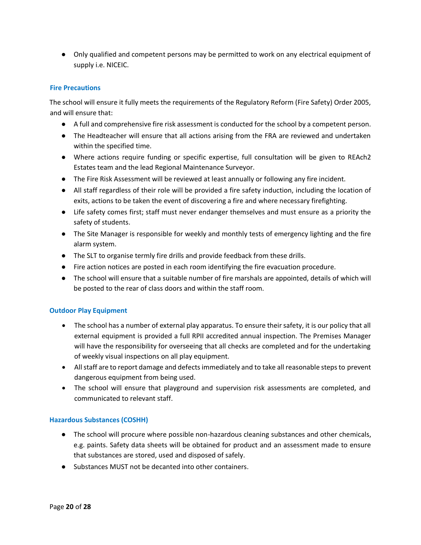● Only qualified and competent persons may be permitted to work on any electrical equipment of supply i.e. NICEIC.

#### <span id="page-19-0"></span>**Fire Precautions**

The school will ensure it fully meets the requirements of the Regulatory Reform (Fire Safety) Order 2005, and will ensure that:

- A full and comprehensive fire risk assessment is conducted for the school by a competent person.
- The Headteacher will ensure that all actions arising from the FRA are reviewed and undertaken within the specified time.
- Where actions require funding or specific expertise, full consultation will be given to REAch2 Estates team and the lead Regional Maintenance Surveyor.
- The Fire Risk Assessment will be reviewed at least annually or following any fire incident.
- All staff regardless of their role will be provided a fire safety induction, including the location of exits, actions to be taken the event of discovering a fire and where necessary firefighting.
- Life safety comes first; staff must never endanger themselves and must ensure as a priority the safety of students.
- The Site Manager is responsible for weekly and monthly tests of emergency lighting and the fire alarm system.
- The SLT to organise termly fire drills and provide feedback from these drills.
- Fire action notices are posted in each room identifying the fire evacuation procedure.
- The school will ensure that a suitable number of fire marshals are appointed, details of which will be posted to the rear of class doors and within the staff room.

#### <span id="page-19-1"></span>**Outdoor Play Equipment**

- The school has a number of external play apparatus. To ensure their safety, it is our policy that all external equipment is provided a full RPII accredited annual inspection. The Premises Manager will have the responsibility for overseeing that all checks are completed and for the undertaking of weekly visual inspections on all play equipment.
- All staff are to report damage and defects immediately and to take all reasonable steps to prevent dangerous equipment from being used.
- The school will ensure that playground and supervision risk assessments are completed, and communicated to relevant staff.

#### <span id="page-19-2"></span>**Hazardous Substances (COSHH)**

- The school will procure where possible non-hazardous cleaning substances and other chemicals, e.g. paints. Safety data sheets will be obtained for product and an assessment made to ensure that substances are stored, used and disposed of safely.
- Substances MUST not be decanted into other containers.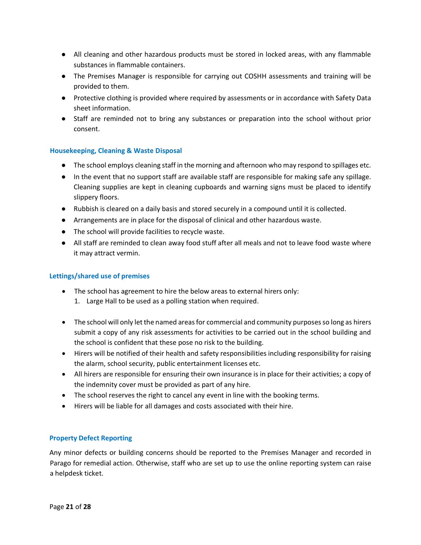- All cleaning and other hazardous products must be stored in locked areas, with any flammable substances in flammable containers.
- The Premises Manager is responsible for carrying out COSHH assessments and training will be provided to them.
- Protective clothing is provided where required by assessments or in accordance with Safety Data sheet information.
- Staff are reminded not to bring any substances or preparation into the school without prior consent.

#### <span id="page-20-0"></span>**Housekeeping, Cleaning & Waste Disposal**

- The school employs cleaning staff in the morning and afternoon who may respond to spillages etc.
- In the event that no support staff are available staff are responsible for making safe any spillage. Cleaning supplies are kept in cleaning cupboards and warning signs must be placed to identify slippery floors.
- Rubbish is cleared on a daily basis and stored securely in a compound until it is collected.
- Arrangements are in place for the disposal of clinical and other hazardous waste.
- The school will provide facilities to recycle waste.
- All staff are reminded to clean away food stuff after all meals and not to leave food waste where it may attract vermin.

#### <span id="page-20-1"></span>**Lettings/shared use of premises**

- The school has agreement to hire the below areas to external hirers only:
	- 1. Large Hall to be used as a polling station when required.
- The school will only let the named areas for commercial and community purposes so long as hirers submit a copy of any risk assessments for activities to be carried out in the school building and the school is confident that these pose no risk to the building.
- Hirers will be notified of their health and safety responsibilities including responsibility for raising the alarm, school security, public entertainment licenses etc.
- All hirers are responsible for ensuring their own insurance is in place for their activities; a copy of the indemnity cover must be provided as part of any hire.
- The school reserves the right to cancel any event in line with the booking terms.
- Hirers will be liable for all damages and costs associated with their hire.

#### <span id="page-20-2"></span>**Property Defect Reporting**

Any minor defects or building concerns should be reported to the Premises Manager and recorded in Parago for remedial action. Otherwise, staff who are set up to use the online reporting system can raise a helpdesk ticket.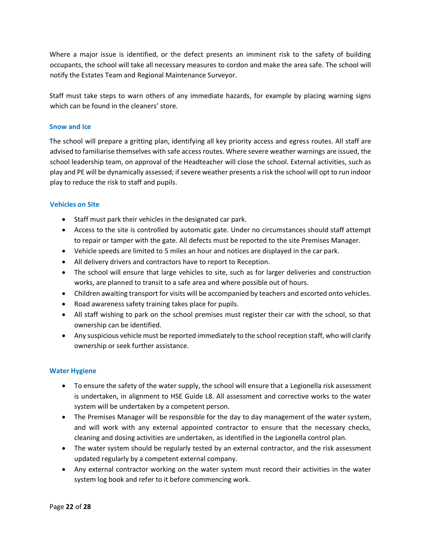Where a major issue is identified, or the defect presents an imminent risk to the safety of building occupants, the school will take all necessary measures to cordon and make the area safe. The school will notify the Estates Team and Regional Maintenance Surveyor.

Staff must take steps to warn others of any immediate hazards, for example by placing warning signs which can be found in the cleaners' store.

#### <span id="page-21-0"></span>**Snow and Ice**

The school will prepare a gritting plan, identifying all key priority access and egress routes. All staff are advised to familiarise themselves with safe access routes. Where severe weather warnings are issued, the school leadership team, on approval of the Headteacher will close the school. External activities, such as play and PE will be dynamically assessed; if severe weather presents a risk the school will opt to run indoor play to reduce the risk to staff and pupils.

#### <span id="page-21-1"></span>**Vehicles on Site**

- Staff must park their vehicles in the designated car park.
- Access to the site is controlled by automatic gate. Under no circumstances should staff attempt to repair or tamper with the gate. All defects must be reported to the site Premises Manager.
- Vehicle speeds are limited to 5 miles an hour and notices are displayed in the car park.
- All delivery drivers and contractors have to report to Reception.
- The school will ensure that large vehicles to site, such as for larger deliveries and construction works, are planned to transit to a safe area and where possible out of hours.
- Children awaiting transport for visits will be accompanied by teachers and escorted onto vehicles.
- Road awareness safety training takes place for pupils.
- All staff wishing to park on the school premises must register their car with the school, so that ownership can be identified.
- Any suspicious vehicle must be reported immediately to the school reception staff, who will clarify ownership or seek further assistance.

#### <span id="page-21-2"></span>**Water Hygiene**

- To ensure the safety of the water supply, the school will ensure that a Legionella risk assessment is undertaken, in alignment to HSE Guide L8. All assessment and corrective works to the water system will be undertaken by a competent person.
- The Premises Manager will be responsible for the day to day management of the water system, and will work with any external appointed contractor to ensure that the necessary checks, cleaning and dosing activities are undertaken, as identified in the Legionella control plan.
- The water system should be regularly tested by an external contractor, and the risk assessment updated regularly by a competent external company.
- Any external contractor working on the water system must record their activities in the water system log book and refer to it before commencing work.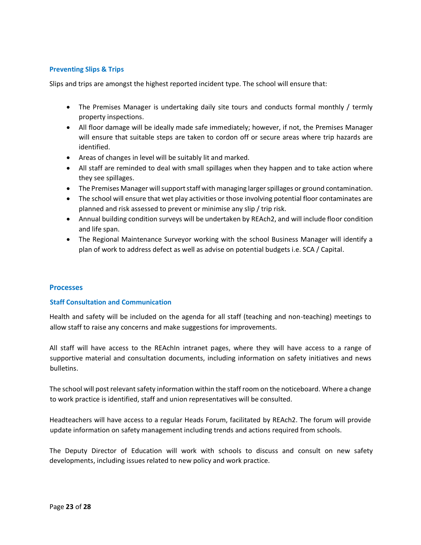#### <span id="page-22-0"></span>**Preventing Slips & Trips**

Slips and trips are amongst the highest reported incident type. The school will ensure that:

- The Premises Manager is undertaking daily site tours and conducts formal monthly / termly property inspections.
- All floor damage will be ideally made safe immediately; however, if not, the Premises Manager will ensure that suitable steps are taken to cordon off or secure areas where trip hazards are identified.
- Areas of changes in level will be suitably lit and marked.
- All staff are reminded to deal with small spillages when they happen and to take action where they see spillages.
- The Premises Manager will support staff with managing larger spillages or ground contamination.
- The school will ensure that wet play activities or those involving potential floor contaminates are planned and risk assessed to prevent or minimise any slip / trip risk.
- Annual building condition surveys will be undertaken by REAch2, and will include floor condition and life span.
- The Regional Maintenance Surveyor working with the school Business Manager will identify a plan of work to address defect as well as advise on potential budgets i.e. SCA / Capital.

#### <span id="page-22-1"></span>**Processes**

#### <span id="page-22-2"></span>**Staff Consultation and Communication**

Health and safety will be included on the agenda for all staff (teaching and non-teaching) meetings to allow staff to raise any concerns and make suggestions for improvements.

All staff will have access to the REAchIn intranet pages, where they will have access to a range of supportive material and consultation documents, including information on safety initiatives and news bulletins.

The school will post relevant safety information within the staff room on the noticeboard. Where a change to work practice is identified, staff and union representatives will be consulted.

Headteachers will have access to a regular Heads Forum, facilitated by REAch2. The forum will provide update information on safety management including trends and actions required from schools.

The Deputy Director of Education will work with schools to discuss and consult on new safety developments, including issues related to new policy and work practice.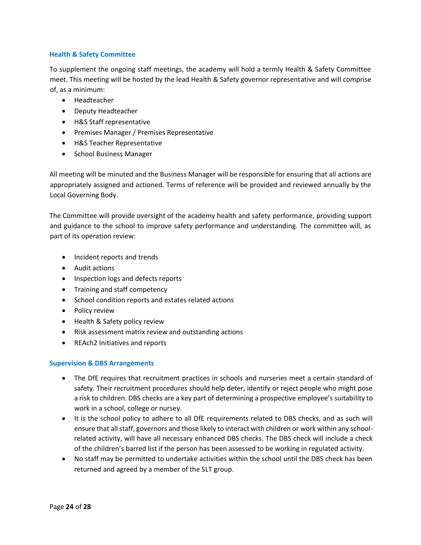#### <span id="page-23-0"></span>**Health & Safety Committee**

To supplement the ongoing staff meetings, the academy will hold a termly Health & Safety Committee meet. This meeting will be hosted by the lead Health & Safety governor representative and will comprise of, as a minimum:

- Headteacher
- Deputy Headteacher
- H&S Staff representative
- Premises Manager / Premises Representative
- H&S Teacher Representative
- School Business Manager

All meeting will be minuted and the Business Manager will be responsible for ensuring that all actions are appropriately assigned and actioned. Terms of reference will be provided and reviewed annually by the Local Governing Body.

The Committee will provide oversight of the academy health and safety performance, providing support and guidance to the school to improve safety performance and understanding. The committee will, as part of its operation review:

- Incident reports and trends
- Audit actions
- Inspection logs and defects reports
- Training and staff competency
- School condition reports and estates related actions
- Policy review
- Health & Safety policy review
- Risk assessment matrix review and outstanding actions
- REAch2 Initiatives and reports

#### <span id="page-23-1"></span>**Supervision & DBS Arrangements**

- The DfE requires that recruitment practices in schools and nurseries meet a certain standard of safety. Their recruitment procedures should help deter, identify or reject people who might pose a risk to children. DBS checks are a key part of determining a prospective employee's suitability to work in a school, college or nursey.
- It is the school policy to adhere to all DfE requirements related to DBS checks, and as such will ensure that all staff, governors and those likely to interact with children or work within any schoolrelated activity, will have all necessary enhanced DBS checks. The DBS check will include a check of the children's barred list if the person has been assessed to be working in regulated activity.
- No staff may be permitted to undertake activities within the school until the DBS check has been returned and agreed by a member of the SLT group.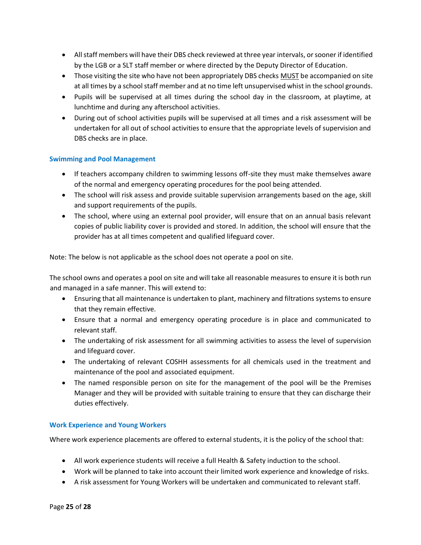- All staff members will have their DBS check reviewed at three year intervals, or sooner if identified by the LGB or a SLT staff member or where directed by the Deputy Director of Education.
- Those visiting the site who have not been appropriately DBS checks MUST be accompanied on site at all times by a school staff member and at no time left unsupervised whist in the school grounds.
- Pupils will be supervised at all times during the school day in the classroom, at playtime, at lunchtime and during any afterschool activities.
- During out of school activities pupils will be supervised at all times and a risk assessment will be undertaken for all out of school activities to ensure that the appropriate levels of supervision and DBS checks are in place.

#### <span id="page-24-0"></span>**Swimming and Pool Management**

- If teachers accompany children to swimming lessons off-site they must make themselves aware of the normal and emergency operating procedures for the pool being attended.
- The school will risk assess and provide suitable supervision arrangements based on the age, skill and support requirements of the pupils.
- The school, where using an external pool provider, will ensure that on an annual basis relevant copies of public liability cover is provided and stored. In addition, the school will ensure that the provider has at all times competent and qualified lifeguard cover.

Note: The below is not applicable as the school does not operate a pool on site.

The school owns and operates a pool on site and will take all reasonable measures to ensure it is both run and managed in a safe manner. This will extend to:

- Ensuring that all maintenance is undertaken to plant, machinery and filtrations systems to ensure that they remain effective.
- Ensure that a normal and emergency operating procedure is in place and communicated to relevant staff.
- The undertaking of risk assessment for all swimming activities to assess the level of supervision and lifeguard cover.
- The undertaking of relevant COSHH assessments for all chemicals used in the treatment and maintenance of the pool and associated equipment.
- The named responsible person on site for the management of the pool will be the Premises Manager and they will be provided with suitable training to ensure that they can discharge their duties effectively.

#### <span id="page-24-1"></span>**Work Experience and Young Workers**

Where work experience placements are offered to external students, it is the policy of the school that:

- All work experience students will receive a full Health & Safety induction to the school.
- Work will be planned to take into account their limited work experience and knowledge of risks.
- A risk assessment for Young Workers will be undertaken and communicated to relevant staff.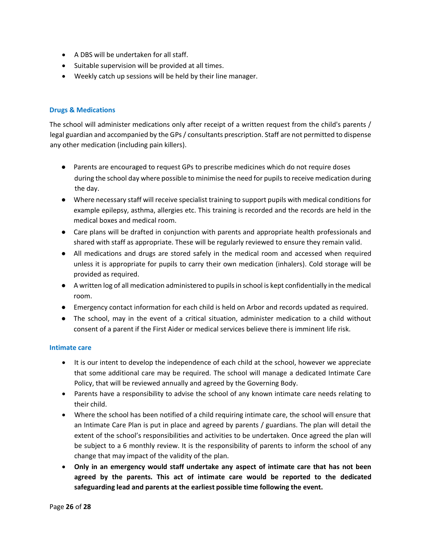- A DBS will be undertaken for all staff.
- Suitable supervision will be provided at all times.
- Weekly catch up sessions will be held by their line manager.

#### <span id="page-25-0"></span>**Drugs & Medications**

The school will administer medications only after receipt of a written request from the child's parents / legal guardian and accompanied by the GPs / consultants prescription. Staff are not permitted to dispense any other medication (including pain killers).

- Parents are encouraged to request GPs to prescribe medicines which do not require doses during the school day where possible to minimise the need for pupils to receive medication during the day.
- Where necessary staff will receive specialist training to support pupils with medical conditions for example epilepsy, asthma, allergies etc. This training is recorded and the records are held in the medical boxes and medical room.
- Care plans will be drafted in conjunction with parents and appropriate health professionals and shared with staff as appropriate. These will be regularly reviewed to ensure they remain valid.
- All medications and drugs are stored safely in the medical room and accessed when required unless it is appropriate for pupils to carry their own medication (inhalers). Cold storage will be provided as required.
- A written log of all medication administered to pupils in school is kept confidentially in the medical room.
- Emergency contact information for each child is held on Arbor and records updated as required.
- The school, may in the event of a critical situation, administer medication to a child without consent of a parent if the First Aider or medical services believe there is imminent life risk.

#### <span id="page-25-1"></span>**Intimate care**

- It is our intent to develop the independence of each child at the school, however we appreciate that some additional care may be required. The school will manage a dedicated Intimate Care Policy, that will be reviewed annually and agreed by the Governing Body.
- Parents have a responsibility to advise the school of any known intimate care needs relating to their child.
- Where the school has been notified of a child requiring intimate care, the school will ensure that an Intimate Care Plan is put in place and agreed by parents / guardians. The plan will detail the extent of the school's responsibilities and activities to be undertaken. Once agreed the plan will be subject to a 6 monthly review. It is the responsibility of parents to inform the school of any change that may impact of the validity of the plan.
- **Only in an emergency would staff undertake any aspect of intimate care that has not been agreed by the parents. This act of intimate care would be reported to the dedicated safeguarding lead and parents at the earliest possible time following the event.**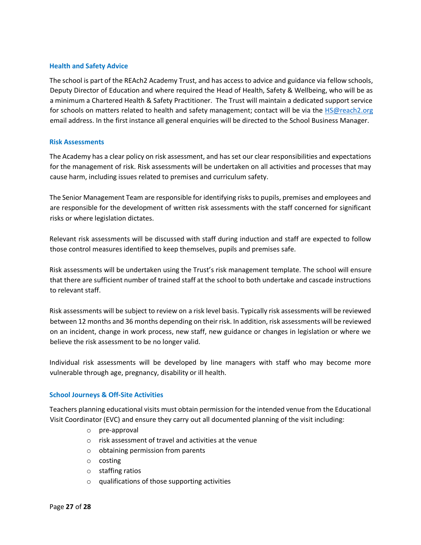#### <span id="page-26-0"></span>**Health and Safety Advice**

The school is part of the REAch2 Academy Trust, and has access to advice and guidance via fellow schools, Deputy Director of Education and where required the Head of Health, Safety & Wellbeing, who will be as a minimum a Chartered Health & Safety Practitioner. The Trust will maintain a dedicated support service for schools on matters related to health and safety management; contact will be via the [HS@reach2.org](mailto:HS@reach2.org) email address. In the first instance all general enquiries will be directed to the School Business Manager.

#### <span id="page-26-1"></span>**Risk Assessments**

The Academy has a clear policy on risk assessment, and has set our clear responsibilities and expectations for the management of risk. Risk assessments will be undertaken on all activities and processes that may cause harm, including issues related to premises and curriculum safety.

The Senior Management Team are responsible for identifying risks to pupils, premises and employees and are responsible for the development of written risk assessments with the staff concerned for significant risks or where legislation dictates.

Relevant risk assessments will be discussed with staff during induction and staff are expected to follow those control measures identified to keep themselves, pupils and premises safe.

Risk assessments will be undertaken using the Trust's risk management template. The school will ensure that there are sufficient number of trained staff at the school to both undertake and cascade instructions to relevant staff.

Risk assessments will be subject to review on a risk level basis. Typically risk assessments will be reviewed between 12 months and 36 months depending on their risk. In addition, risk assessments will be reviewed on an incident, change in work process, new staff, new guidance or changes in legislation or where we believe the risk assessment to be no longer valid.

Individual risk assessments will be developed by line managers with staff who may become more vulnerable through age, pregnancy, disability or ill health.

#### <span id="page-26-2"></span>**School Journeys & Off-Site Activities**

Teachers planning educational visits must obtain permission for the intended venue from the Educational Visit Coordinator (EVC) and ensure they carry out all documented planning of the visit including:

- o pre-approval
- o risk assessment of travel and activities at the venue
- o obtaining permission from parents
- o costing
- o staffing ratios
- $\circ$  qualifications of those supporting activities